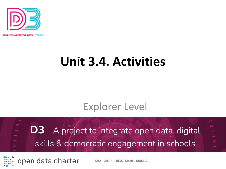

**OPING DIGITAL DATA** LITERACY

## **Unit 3.4. Activities**

### Explorer Level

 $\circ$ O **D3** - A project to integrate open data, digital skills & democratic engagement in schools

open data charter

**KA2 - 2019-1-BE02-KA201-060212**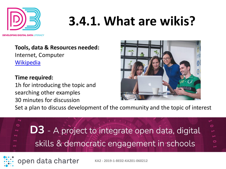

# **3.4.1. What are wikis?**

IN**G DIGITAL DATA** LITERACY

**Tools, data & Resources needed:**  Internet, Computer [Wikipedia](https://en.wikipedia.org/wiki/Main_Page)

**Time required:**  1h for introducing the topic and searching other examples 30 minutes for discussion

open data charter



Set a plan to discuss development of the community and the topic of interest



**KA2 - 2019-1-BE02-KA201-060212**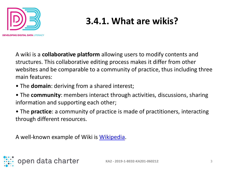

## **3.4.1. What are wikis?**

A wiki is a **collaborative platform** allowing users to modify contents and structures. This collaborative editing process makes it differ from other websites and be comparable to a community of practice, thus including three main features:

- The **domain**: deriving from a shared interest;
- The **community**: members interact through activities, discussions, sharing information and supporting each other;

• The **practice**: a community of practice is made of practitioners, interacting through different resources.

A well-known example of Wiki is [Wikipedia.](https://en.wikipedia.org/wiki/Main_Page)

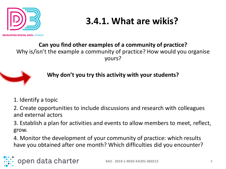

**ING DIGITAL DATA LITERACY** 

**3.4.1. What are wikis?** 

#### **Can you find other examples of a community of practice?**  Why is/isn't the example a community of practice? How would you organise yours?



**Why don't you try this activity with your students?**

1. Identify a topic

2. Create opportunities to include discussions and research with colleagues and external actors

3. Establish a plan for activities and events to allow members to meet, reflect, grow.

4. Monitor the development of your community of practice: which results have you obtained after one month? Which difficulties did you encounter?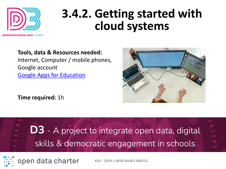

## **3.4.2. Getting started with cloud systems**

IN**G DIGITAL DATA** LITERACY

**Tools, data & Resources needed:**  Internet, Computer / mobile phones, Google account [Google Apps for Education](https://edu.google.com/intl/en_uk/)

**Time required:** 1h



open data charter

**KA2 - 2019-1-BE02-KA201-060212**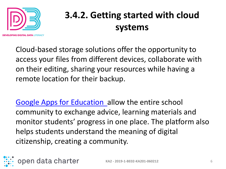

## **3.4.2. Getting started with cloud systems**

Cloud-based storage solutions offer the opportunity to access your files from different devices, collaborate with on their editing, sharing your resources while having a remote location for their backup.

[Google Apps for Education a](https://edu.google.com/intl/en_uk/)llow the entire school community to exchange advice, learning materials and monitor students' progress in one place. The platform also helps students understand the meaning of digital citizenship, creating a community.